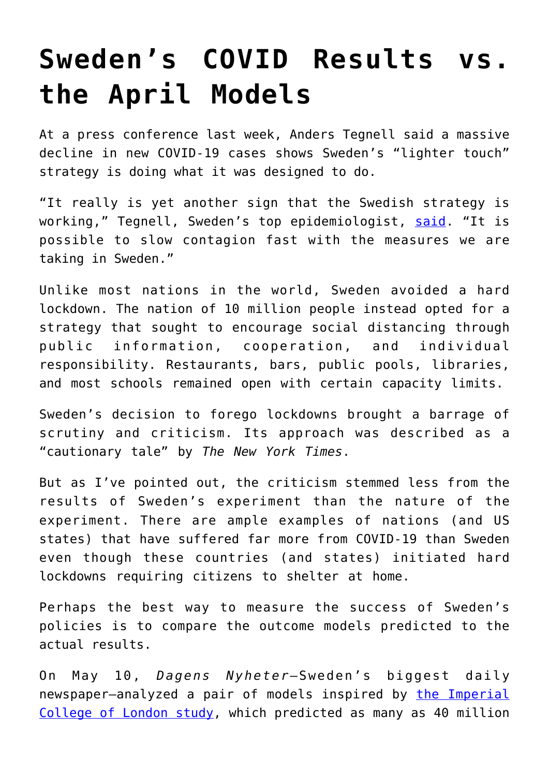## **[Sweden's COVID Results vs.](https://intellectualtakeout.org/2020/07/swedens-covid-results-vs-the-april-models/) [the April Models](https://intellectualtakeout.org/2020/07/swedens-covid-results-vs-the-april-models/)**

At a press conference last week, Anders Tegnell said a massive decline in new COVID-19 cases shows Sweden's "lighter touch" strategy is doing what it was designed to do.

"It really is yet another sign that the Swedish strategy is working," Tegnell, Sweden's top epidemiologist, [said.](https://www.reuters.com/article/us-health-coronavirus-sweden-strategy/swedish-epidemiology-boss-says-questioned-covid-19-strategy-seems-to-be-working-idUSKCN24M25L) "It is possible to slow contagion fast with the measures we are taking in Sweden."

Unlike most nations in the world, Sweden avoided a hard lockdown. The nation of 10 million people instead opted for a strategy that sought to encourage social distancing through public information, cooperation, and individual responsibility. Restaurants, bars, public pools, libraries, and most schools remained open with certain capacity limits.

Sweden's decision to forego lockdowns brought a barrage of scrutiny and criticism. Its approach was described as a "cautionary tale" by *The New York Times*.

But as I've pointed out, the criticism stemmed less from the results of Sweden's experiment than the nature of the experiment. There are ample examples of nations (and US states) that have suffered far more from COVID-19 than Sweden even though these countries (and states) initiated hard lockdowns requiring citizens to shelter at home.

Perhaps the best way to measure the success of Sweden's policies is to compare the outcome models predicted to the actual results.

On May 10, *Dagens Nyheter*—Sweden's biggest daily newspaper—analyzed a pair of models inspired by [the Imperial](https://www.imperial.ac.uk/news/196496/coronavirus-pandemic-could-have-caused-40/) [College of London study,](https://www.imperial.ac.uk/news/196496/coronavirus-pandemic-could-have-caused-40/) which predicted as many as 40 million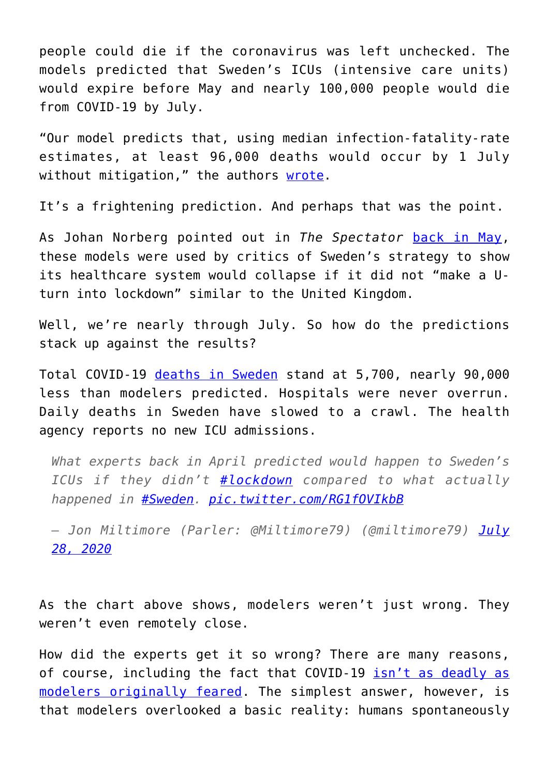people could die if the coronavirus was left unchecked. The models predicted that Sweden's ICUs (intensive care units) would expire before May and nearly 100,000 people would die from COVID-19 by July.

"Our model predicts that, using median infection-fatality-rate estimates, at least 96,000 deaths would occur by 1 July without mitigation," the authors [wrote](https://www.medrxiv.org/content/10.1101/2020.04.11.20062133v1.full.pdf).

It's a frightening prediction. And perhaps that was the point.

As Johan Norberg pointed out in *The Spectator* [back in May,](https://www.spectator.co.uk/article/can-we-trust-covid-modelling-more-evidence-from-sweden) these models were used by critics of Sweden's strategy to show its healthcare system would collapse if it did not "make a Uturn into lockdown" similar to the United Kingdom.

Well, we're nearly through July. So how do the predictions stack up against the results?

Total COVID-19 [deaths in Sweden](https://www.worldometers.info/coronavirus/country/sweden/) stand at 5,700, nearly 90,000 less than modelers predicted. Hospitals were never overrun. Daily deaths in Sweden have slowed to a crawl. The health agency reports no new ICU admissions.

*What experts back in April predicted would happen to Sweden's ICUs if they didn't [#lockdown](https://twitter.com/hashtag/lockdown?src=hash&ref_src=twsrc%5Etfw) compared to what actually happened in [#Sweden](https://twitter.com/hashtag/Sweden?src=hash&ref_src=twsrc%5Etfw). [pic.twitter.com/RG1fOVIkbB](https://t.co/RG1fOVIkbB)*

*— Jon Miltimore (Parler: @Miltimore79) (@miltimore79) [July](https://twitter.com/miltimore79/status/1288125018564464650?ref_src=twsrc%5Etfw) [28, 2020](https://twitter.com/miltimore79/status/1288125018564464650?ref_src=twsrc%5Etfw)*

As the chart above shows, modelers weren't just wrong. They weren't even remotely close.

How did the experts get it so wrong? There are many reasons, of course, including the fact that COVID-19 [isn't as deadly as](https://fee.org/articles/npr-mounting-evidence-suggests-covid-not-as-deadly-as-thought-did-the-experts-fail-again/) [modelers originally feared.](https://fee.org/articles/npr-mounting-evidence-suggests-covid-not-as-deadly-as-thought-did-the-experts-fail-again/) The simplest answer, however, is that modelers overlooked a basic reality: humans spontaneously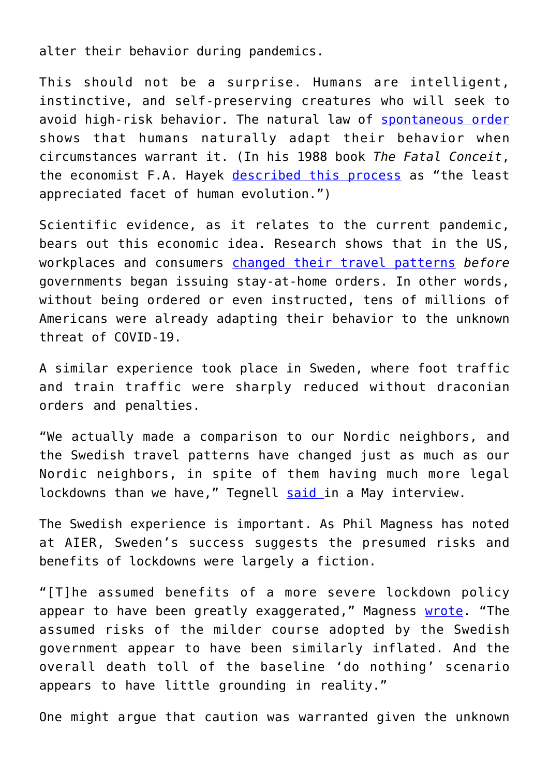alter their behavior during pandemics.

This should not be a surprise. Humans are intelligent, instinctive, and self-preserving creatures who will seek to avoid high-risk behavior. The natural law of [spontaneous order](https://www.econlib.org/library/Essays/LtrLbrty/bryTSO.html#:~:text=Spontaneous%20Order%20%26%20) shows that humans naturally adapt their behavior when circumstances warrant it. (In his 1988 book *The Fatal Conceit*, the economist F.A. Hayek [described this process](https://www.acton.org/friedrich-august-von-hayek) as "the least appreciated facet of human evolution.")

Scientific evidence, as it relates to the current pandemic, bears out this economic idea. Research shows that in the US, workplaces and consumers [changed their travel patterns](http://www.fau.edu/newsdesk/articles/stay-at-home.php) *before* governments began issuing stay-at-home orders. In other words, without being ordered or even instructed, tens of millions of Americans were already adapting their behavior to the unknown threat of COVID-19.

A similar experience took place in Sweden, where foot traffic and train traffic were sharply reduced without draconian orders and penalties.

"We actually made a comparison to our Nordic neighbors, and the Swedish travel patterns have changed just as much as our Nordic neighbors, in spite of them having much more legal lockdowns than we have," Tegnell [said](https://www.youtube.com/watch?v=2HWfnZLKfQY&fbclid=IwAR3CCRe7Ff76dFIqLRCa9Y6oMgpqH7TEmxMPbodGRhO4dTQpm68u2RMC6PM) in a May interview.

The Swedish experience is important. As Phil Magness has noted at AIER, Sweden's success suggests the presumed risks and benefits of lockdowns were largely a fiction.

"[T]he assumed benefits of a more severe lockdown policy appear to have been greatly exaggerated," Magness [wrote.](https://www.medrxiv.org/content/10.1101/2020.04.11.20062133v1.full.pdf) "The assumed risks of the milder course adopted by the Swedish government appear to have been similarly inflated. And the overall death toll of the baseline 'do nothing' scenario appears to have little grounding in reality."

One might argue that caution was warranted given the unknown